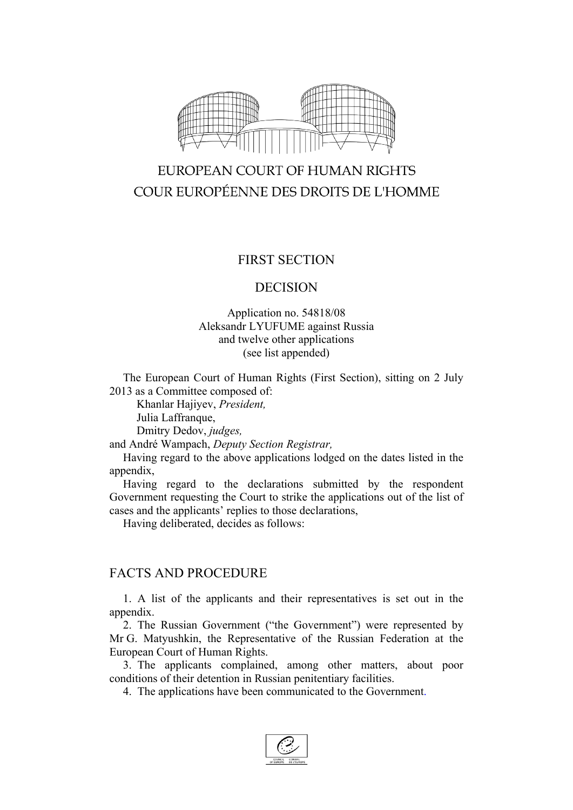

# EUROPEAN COURT OF HUMAN RIGHTS COUR EUROPÉENNE DES DROITS DE L'HOMME

## FIRST SECTION

#### DECISION

#### Application no. 54818/08 Aleksandr LYUFUME against Russia and twelve other applications (see list appended)

The European Court of Human Rights (First Section), sitting on 2 July 2013 as a Committee composed of:

Khanlar Hajiyev, *President,* Julia Laffranque,

Dmitry Dedov, *judges,*

and André Wampach, *Deputy Section Registrar,*

Having regard to the above applications lodged on the dates listed in the appendix,

Having regard to the declarations submitted by the respondent Government requesting the Court to strike the applications out of the list of cases and the applicants' replies to those declarations,

Having deliberated, decides as follows:

## FACTS AND PROCEDURE

1. A list of the applicants and their representatives is set out in the appendix.

2. The Russian Government ("the Government") were represented by Mr G. Matyushkin, the Representative of the Russian Federation at the European Court of Human Rights.

3. The applicants complained, among other matters, about poor conditions of their detention in Russian penitentiary facilities.

4. The applications have been communicated to the Government.

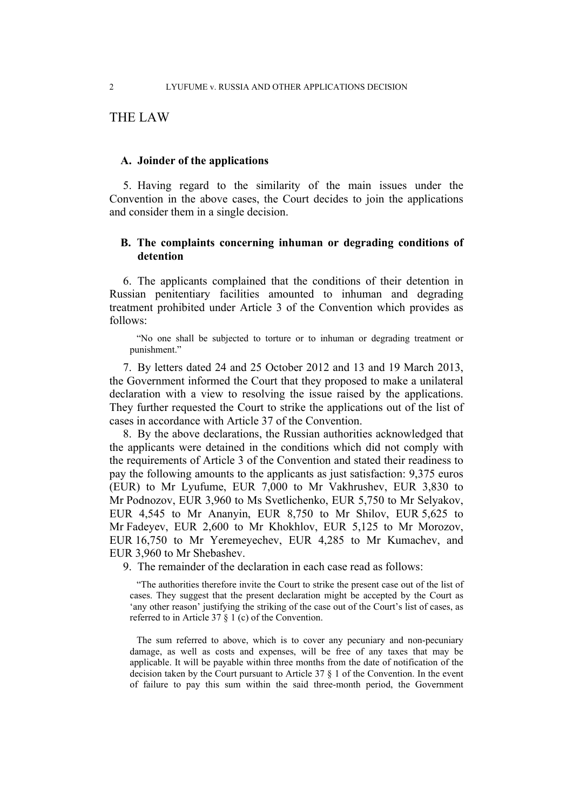## THE LAW

#### **A. Joinder of the applications**

5. Having regard to the similarity of the main issues under the Convention in the above cases, the Court decides to join the applications and consider them in a single decision.

#### **B. The complaints concerning inhuman or degrading conditions of detention**

6. The applicants complained that the conditions of their detention in Russian penitentiary facilities amounted to inhuman and degrading treatment prohibited under Article 3 of the Convention which provides as follows:

"No one shall be subjected to torture or to inhuman or degrading treatment or punishment."

7. By letters dated 24 and 25 October 2012 and 13 and 19 March 2013, the Government informed the Court that they proposed to make a unilateral declaration with a view to resolving the issue raised by the applications. They further requested the Court to strike the applications out of the list of cases in accordance with Article 37 of the Convention.

8. By the above declarations, the Russian authorities acknowledged that the applicants were detained in the conditions which did not comply with the requirements of Article 3 of the Convention and stated their readiness to pay the following amounts to the applicants as just satisfaction: 9,375 euros (EUR) to Mr Lyufume, EUR 7,000 to Mr Vakhrushev, EUR 3,830 to Mr Podnozov, EUR 3,960 to Ms Svetlichenko, EUR 5,750 to Mr Selyakov, EUR 4,545 to Mr Ananyin, EUR 8,750 to Mr Shilov, EUR 5,625 to Mr Fadeyev, EUR 2,600 to Mr Khokhlov, EUR 5,125 to Mr Morozov, EUR 16,750 to Mr Yeremeyechev, EUR 4,285 to Mr Kumachev, and EUR 3,960 to Mr Shebashev.

9. The remainder of the declaration in each case read as follows:

"The authorities therefore invite the Court to strike the present case out of the list of cases. They suggest that the present declaration might be accepted by the Court as 'any other reason' justifying the striking of the case out of the Court's list of cases, as referred to in Article 37 § 1 (c) of the Convention.

The sum referred to above, which is to cover any pecuniary and non-pecuniary damage, as well as costs and expenses, will be free of any taxes that may be applicable. It will be payable within three months from the date of notification of the decision taken by the Court pursuant to Article 37 § 1 of the Convention. In the event of failure to pay this sum within the said three-month period, the Government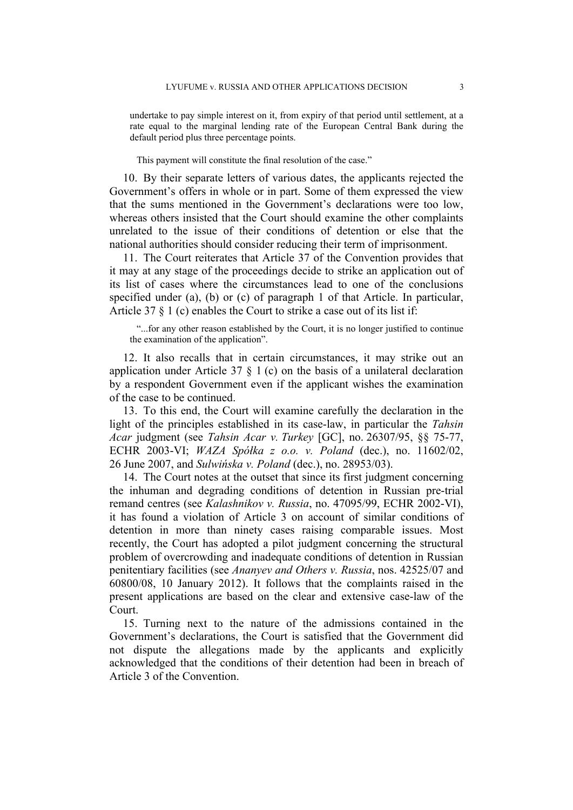undertake to pay simple interest on it, from expiry of that period until settlement, at a rate equal to the marginal lending rate of the European Central Bank during the default period plus three percentage points.

This payment will constitute the final resolution of the case."

10. By their separate letters of various dates, the applicants rejected the Government's offers in whole or in part. Some of them expressed the view that the sums mentioned in the Government's declarations were too low, whereas others insisted that the Court should examine the other complaints unrelated to the issue of their conditions of detention or else that the national authorities should consider reducing their term of imprisonment.

11. The Court reiterates that Article 37 of the Convention provides that it may at any stage of the proceedings decide to strike an application out of its list of cases where the circumstances lead to one of the conclusions specified under (a), (b) or (c) of paragraph 1 of that Article. In particular, Article 37 § 1 (c) enables the Court to strike a case out of its list if:

"...for any other reason established by the Court, it is no longer justified to continue the examination of the application".

12. It also recalls that in certain circumstances, it may strike out an application under Article 37  $\S$  1 (c) on the basis of a unilateral declaration by a respondent Government even if the applicant wishes the examination of the case to be continued.

13. To this end, the Court will examine carefully the declaration in the light of the principles established in its case-law, in particular the *Tahsin Acar* judgment (see *Tahsin Acar v. Turkey* [GC], no. 26307/95, §§ 75-77, ECHR 2003-VI; *WAZA Spółka z o.o. v. Poland* (dec.), no. 11602/02, 26 June 2007, and *Sulwińska v. Poland* (dec.), no. 28953/03).

14. The Court notes at the outset that since its first judgment concerning the inhuman and degrading conditions of detention in Russian pre-trial remand centres (see *Kalashnikov v. Russia*, no. 47095/99, ECHR 2002-VI), it has found a violation of Article 3 on account of similar conditions of detention in more than ninety cases raising comparable issues. Most recently, the Court has adopted a pilot judgment concerning the structural problem of overcrowding and inadequate conditions of detention in Russian penitentiary facilities (see *Ananyev and Others v. Russia*, nos. 42525/07 and 60800/08, 10 January 2012). It follows that the complaints raised in the present applications are based on the clear and extensive case-law of the Court.

15. Turning next to the nature of the admissions contained in the Government's declarations, the Court is satisfied that the Government did not dispute the allegations made by the applicants and explicitly acknowledged that the conditions of their detention had been in breach of Article 3 of the Convention.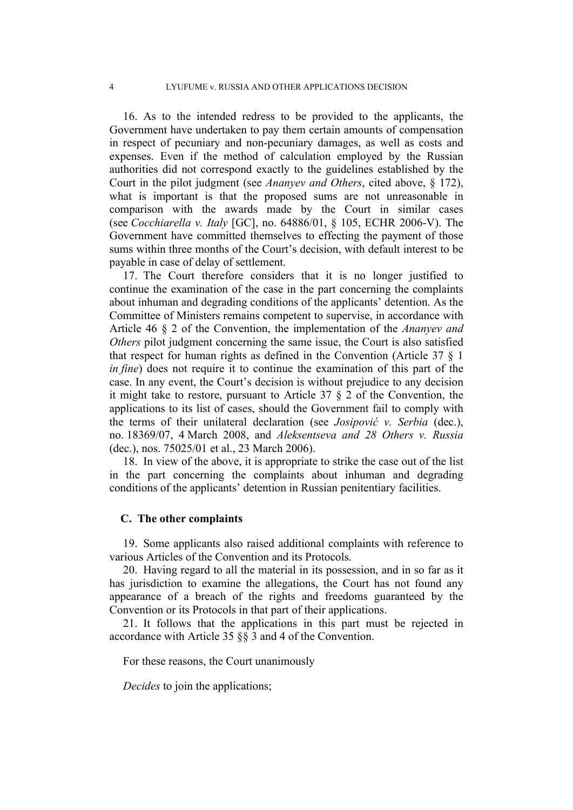16. As to the intended redress to be provided to the applicants, the Government have undertaken to pay them certain amounts of compensation in respect of pecuniary and non-pecuniary damages, as well as costs and expenses. Even if the method of calculation employed by the Russian authorities did not correspond exactly to the guidelines established by the Court in the pilot judgment (see *Ananyev and Others*, cited above, § 172), what is important is that the proposed sums are not unreasonable in comparison with the awards made by the Court in similar cases (see *Cocchiarella v. Italy* [GC], no. 64886/01, § 105, ECHR 2006-V). The Government have committed themselves to effecting the payment of those sums within three months of the Court's decision, with default interest to be payable in case of delay of settlement.

17. The Court therefore considers that it is no longer justified to continue the examination of the case in the part concerning the complaints about inhuman and degrading conditions of the applicants' detention. As the Committee of Ministers remains competent to supervise, in accordance with Article 46 § 2 of the Convention, the implementation of the *Ananyev and Others* pilot judgment concerning the same issue, the Court is also satisfied that respect for human rights as defined in the Convention (Article 37 § 1 *in fine*) does not require it to continue the examination of this part of the case. In any event, the Court's decision is without prejudice to any decision it might take to restore, pursuant to Article 37 § 2 of the Convention, the applications to its list of cases, should the Government fail to comply with the terms of their unilateral declaration (see *Josipović v. Serbia* (dec.), no. 18369/07, 4 March 2008, and *Aleksentseva and 28 Others v. Russia* (dec.), nos. 75025/01 et al., 23 March 2006).

18. In view of the above, it is appropriate to strike the case out of the list in the part concerning the complaints about inhuman and degrading conditions of the applicants' detention in Russian penitentiary facilities.

#### **C. The other complaints**

19. Some applicants also raised additional complaints with reference to various Articles of the Convention and its Protocols.

20. Having regard to all the material in its possession, and in so far as it has jurisdiction to examine the allegations, the Court has not found any appearance of a breach of the rights and freedoms guaranteed by the Convention or its Protocols in that part of their applications.

21. It follows that the applications in this part must be rejected in accordance with Article 35 §§ 3 and 4 of the Convention.

For these reasons, the Court unanimously

*Decides* to join the applications;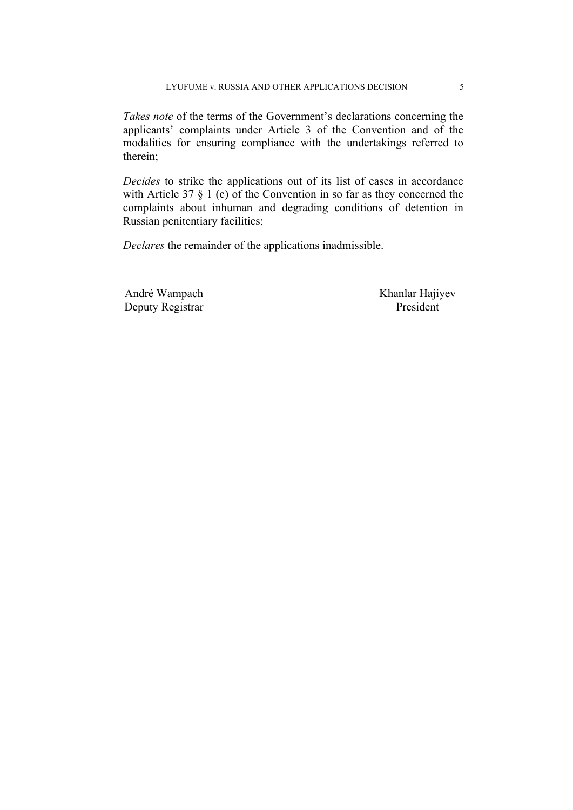*Takes note* of the terms of the Government's declarations concerning the applicants' complaints under Article 3 of the Convention and of the modalities for ensuring compliance with the undertakings referred to therein;

*Decides* to strike the applications out of its list of cases in accordance with Article 37 § 1 (c) of the Convention in so far as they concerned the complaints about inhuman and degrading conditions of detention in Russian penitentiary facilities;

*Declares* the remainder of the applications inadmissible.

André Wampach Khanlar Hajiyev Deputy Registrar President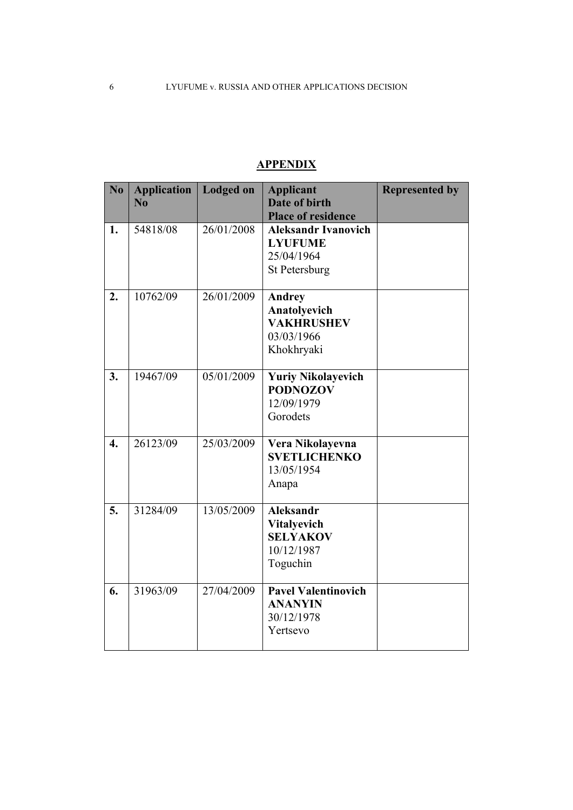| $\overline{\text{No}}$ | <b>Application</b><br>$\overline{\text{No}}$ | <b>Lodged on</b> | <b>Applicant</b><br>Date of birth<br><b>Place of residence</b>                      | <b>Represented by</b> |
|------------------------|----------------------------------------------|------------------|-------------------------------------------------------------------------------------|-----------------------|
| 1.                     | 54818/08                                     | 26/01/2008       | <b>Aleksandr Ivanovich</b><br><b>LYUFUME</b><br>25/04/1964<br>St Petersburg         |                       |
| 2.                     | 10762/09                                     | 26/01/2009       | <b>Andrey</b><br>Anatolyevich<br><b>VAKHRUSHEV</b><br>03/03/1966<br>Khokhryaki      |                       |
| 3.                     | 19467/09                                     | 05/01/2009       | <b>Yuriy Nikolayevich</b><br><b>PODNOZOV</b><br>12/09/1979<br>Gorodets              |                       |
| $\overline{4}$ .       | 26123/09                                     | 25/03/2009       | Vera Nikolayevna<br><b>SVETLICHENKO</b><br>13/05/1954<br>Anapa                      |                       |
| 5.                     | 31284/09                                     | 13/05/2009       | <b>Aleksandr</b><br><b>Vitalyevich</b><br><b>SELYAKOV</b><br>10/12/1987<br>Toguchin |                       |
| 6.                     | 31963/09                                     | 27/04/2009       | <b>Pavel Valentinovich</b><br><b>ANANYIN</b><br>30/12/1978<br>Yertsevo              |                       |

## **APPENDIX**